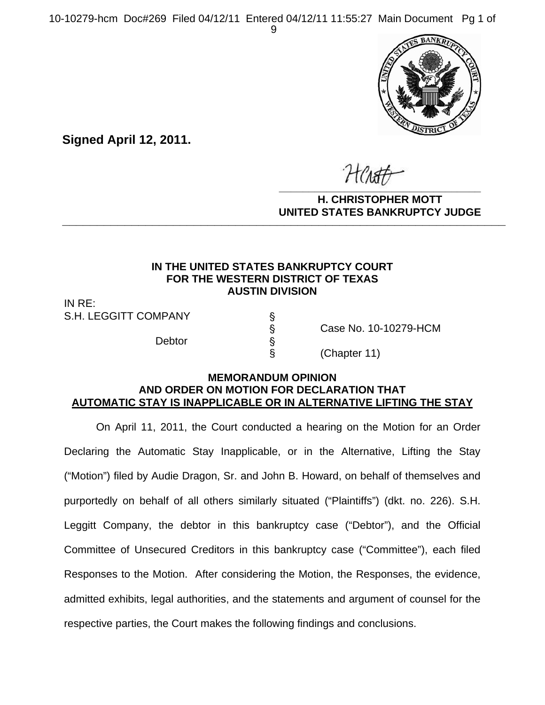10-10279-hcm Doc#269 Filed 04/12/11 Entered 04/12/11 11:55:27 Main Document Pg 1 of 9



**Signed April 12, 2011.**

**\_\_\_\_\_\_\_\_\_\_\_\_\_\_\_\_\_\_\_\_\_\_\_\_\_\_\_\_\_\_\_\_\_\_**

**H. CHRISTOPHER MOTT UNITED STATES BANKRUPTCY JUDGE PATTED DRIVING TOT 00DCL** 

### **IN THE UNITED STATES BANKRUPTCY COURT FOR THE WESTERN DISTRICT OF TEXAS AUSTIN DIVISION**

IN RE: S.H. LEGGITT COMPANY S

Debtor '

' Case No. 10-10279-HCM

§ (Chapter 11)

### **MEMORANDUM OPINION AND ORDER ON MOTION FOR DECLARATION THAT AUTOMATIC STAY IS INAPPLICABLE OR IN ALTERNATIVE LIFTING THE STAY**

On April 11, 2011, the Court conducted a hearing on the Motion for an Order Declaring the Automatic Stay Inapplicable, or in the Alternative, Lifting the Stay ("Motion") filed by Audie Dragon, Sr. and John B. Howard, on behalf of themselves and purportedly on behalf of all others similarly situated ("Plaintiffs") (dkt. no. 226). S.H. Leggitt Company, the debtor in this bankruptcy case ("Debtor"), and the Official Committee of Unsecured Creditors in this bankruptcy case ("Committee"), each filed Responses to the Motion. After considering the Motion, the Responses, the evidence, admitted exhibits, legal authorities, and the statements and argument of counsel for the respective parties, the Court makes the following findings and conclusions.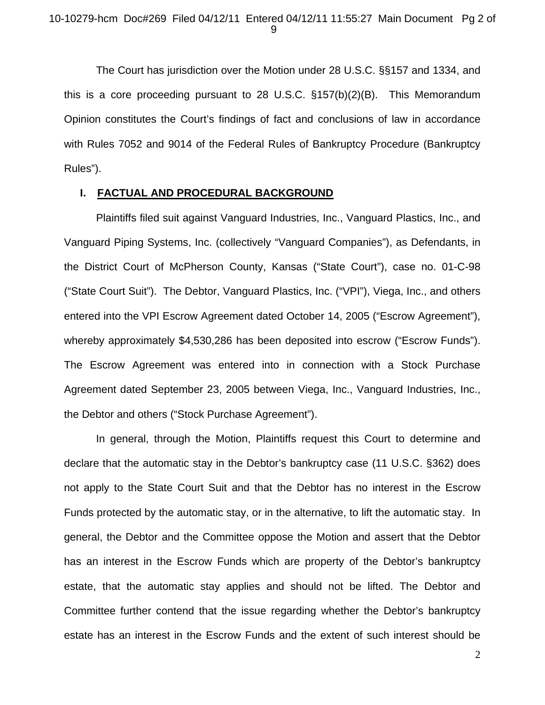The Court has jurisdiction over the Motion under 28 U.S.C. §§157 and 1334, and this is a core proceeding pursuant to 28 U.S.C. §157(b)(2)(B). This Memorandum Opinion constitutes the Court's findings of fact and conclusions of law in accordance with Rules 7052 and 9014 of the Federal Rules of Bankruptcy Procedure (Bankruptcy Rules").

#### **I. FACTUAL AND PROCEDURAL BACKGROUND**

Plaintiffs filed suit against Vanguard Industries, Inc., Vanguard Plastics, Inc., and Vanguard Piping Systems, Inc. (collectively "Vanguard Companies"), as Defendants, in the District Court of McPherson County, Kansas ("State Court"), case no. 01-C-98 ("State Court Suit"). The Debtor, Vanguard Plastics, Inc. ("VPI"), Viega, Inc., and others entered into the VPI Escrow Agreement dated October 14, 2005 ("Escrow Agreement"), whereby approximately \$4,530,286 has been deposited into escrow ("Escrow Funds"). The Escrow Agreement was entered into in connection with a Stock Purchase Agreement dated September 23, 2005 between Viega, Inc., Vanguard Industries, Inc., the Debtor and others ("Stock Purchase Agreement").

In general, through the Motion, Plaintiffs request this Court to determine and declare that the automatic stay in the Debtor's bankruptcy case (11 U.S.C. §362) does not apply to the State Court Suit and that the Debtor has no interest in the Escrow Funds protected by the automatic stay, or in the alternative, to lift the automatic stay. In general, the Debtor and the Committee oppose the Motion and assert that the Debtor has an interest in the Escrow Funds which are property of the Debtor's bankruptcy estate, that the automatic stay applies and should not be lifted. The Debtor and Committee further contend that the issue regarding whether the Debtor's bankruptcy estate has an interest in the Escrow Funds and the extent of such interest should be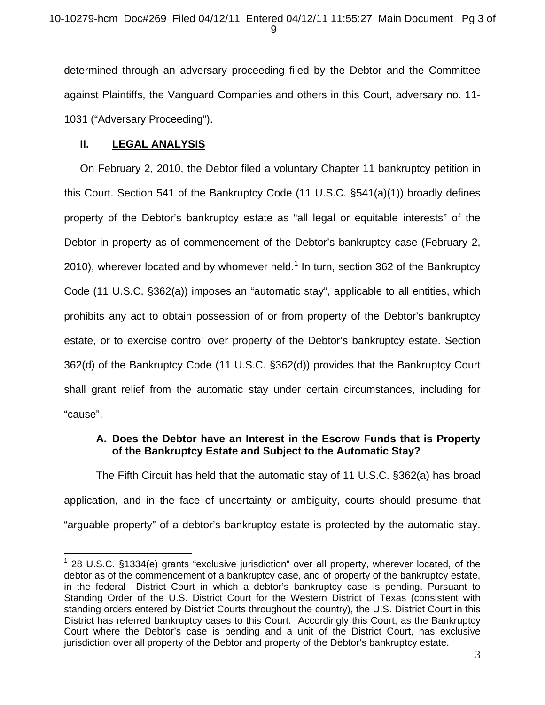determined through an adversary proceeding filed by the Debtor and the Committee against Plaintiffs, the Vanguard Companies and others in this Court, adversary no. 11- 1031 ("Adversary Proceeding").

# **II. LEGAL ANALYSIS**

 $\overline{a}$ 

On February 2, 2010, the Debtor filed a voluntary Chapter 11 bankruptcy petition in this Court. Section 541 of the Bankruptcy Code (11 U.S.C. §541(a)(1)) broadly defines property of the Debtor's bankruptcy estate as "all legal or equitable interests" of the Debtor in property as of commencement of the Debtor's bankruptcy case (February 2, 2010), wherever located and by whomever held. $1$  In turn, section 362 of the Bankruptcy Code (11 U.S.C. §362(a)) imposes an "automatic stay", applicable to all entities, which prohibits any act to obtain possession of or from property of the Debtor's bankruptcy estate, or to exercise control over property of the Debtor's bankruptcy estate. Section 362(d) of the Bankruptcy Code (11 U.S.C. §362(d)) provides that the Bankruptcy Court shall grant relief from the automatic stay under certain circumstances, including for "cause".

# **A. Does the Debtor have an Interest in the Escrow Funds that is Property of the Bankruptcy Estate and Subject to the Automatic Stay?**

The Fifth Circuit has held that the automatic stay of 11 U.S.C. §362(a) has broad application, and in the face of uncertainty or ambiguity, courts should presume that "arguable property" of a debtor's bankruptcy estate is protected by the automatic stay.

 $1$  28 U.S.C. §1334(e) grants "exclusive jurisdiction" over all property, wherever located, of the debtor as of the commencement of a bankruptcy case, and of property of the bankruptcy estate, in the federal District Court in which a debtor's bankruptcy case is pending. Pursuant to Standing Order of the U.S. District Court for the Western District of Texas (consistent with standing orders entered by District Courts throughout the country), the U.S. District Court in this District has referred bankruptcy cases to this Court. Accordingly this Court, as the Bankruptcy Court where the Debtor's case is pending and a unit of the District Court, has exclusive jurisdiction over all property of the Debtor and property of the Debtor's bankruptcy estate.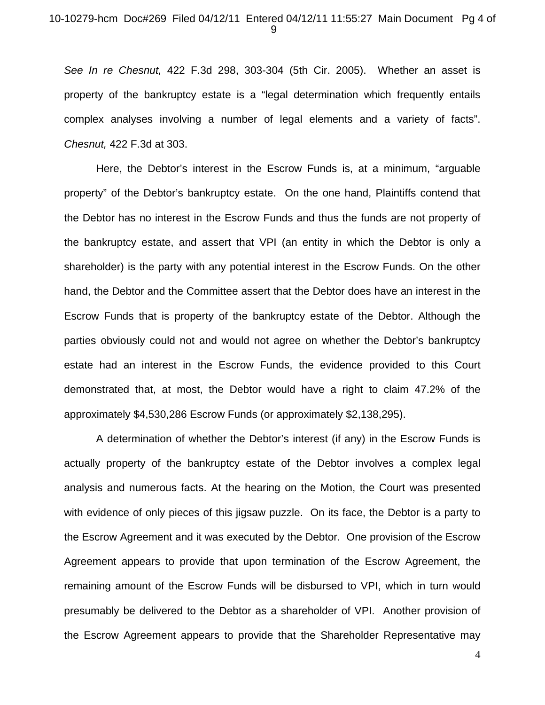#### 10-10279-hcm Doc#269 Filed 04/12/11 Entered 04/12/11 11:55:27 Main Document Pg 4 of 9

*See In re Chesnut,* 422 F.3d 298, 303-304 (5th Cir. 2005). Whether an asset is property of the bankruptcy estate is a "legal determination which frequently entails complex analyses involving a number of legal elements and a variety of facts". *Chesnut,* 422 F.3d at 303.

 Here, the Debtor's interest in the Escrow Funds is, at a minimum, "arguable property" of the Debtor's bankruptcy estate. On the one hand, Plaintiffs contend that the Debtor has no interest in the Escrow Funds and thus the funds are not property of the bankruptcy estate, and assert that VPI (an entity in which the Debtor is only a shareholder) is the party with any potential interest in the Escrow Funds. On the other hand, the Debtor and the Committee assert that the Debtor does have an interest in the Escrow Funds that is property of the bankruptcy estate of the Debtor. Although the parties obviously could not and would not agree on whether the Debtor's bankruptcy estate had an interest in the Escrow Funds, the evidence provided to this Court demonstrated that, at most, the Debtor would have a right to claim 47.2% of the approximately \$4,530,286 Escrow Funds (or approximately \$2,138,295).

 A determination of whether the Debtor's interest (if any) in the Escrow Funds is actually property of the bankruptcy estate of the Debtor involves a complex legal analysis and numerous facts. At the hearing on the Motion, the Court was presented with evidence of only pieces of this jigsaw puzzle. On its face, the Debtor is a party to the Escrow Agreement and it was executed by the Debtor. One provision of the Escrow Agreement appears to provide that upon termination of the Escrow Agreement, the remaining amount of the Escrow Funds will be disbursed to VPI, which in turn would presumably be delivered to the Debtor as a shareholder of VPI. Another provision of the Escrow Agreement appears to provide that the Shareholder Representative may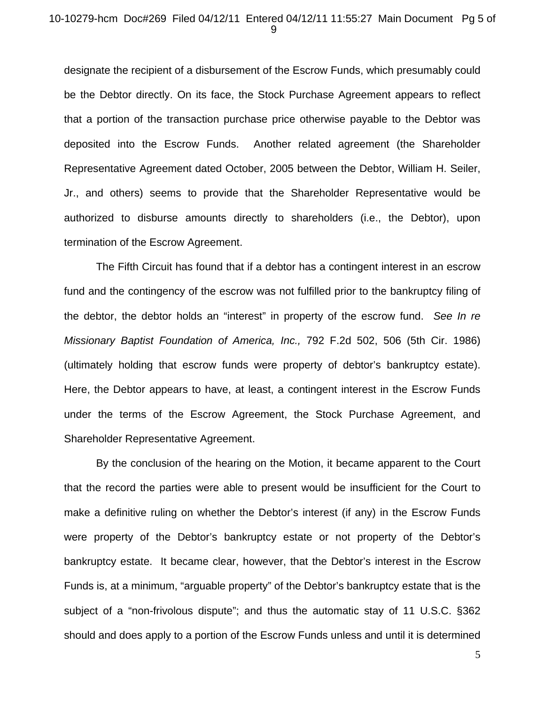#### 10-10279-hcm Doc#269 Filed 04/12/11 Entered 04/12/11 11:55:27 Main Document Pg 5 of 9

designate the recipient of a disbursement of the Escrow Funds, which presumably could be the Debtor directly. On its face, the Stock Purchase Agreement appears to reflect that a portion of the transaction purchase price otherwise payable to the Debtor was deposited into the Escrow Funds. Another related agreement (the Shareholder Representative Agreement dated October, 2005 between the Debtor, William H. Seiler, Jr., and others) seems to provide that the Shareholder Representative would be authorized to disburse amounts directly to shareholders (i.e., the Debtor), upon termination of the Escrow Agreement.

The Fifth Circuit has found that if a debtor has a contingent interest in an escrow fund and the contingency of the escrow was not fulfilled prior to the bankruptcy filing of the debtor, the debtor holds an "interest" in property of the escrow fund. *See In re Missionary Baptist Foundation of America, Inc.,* 792 F.2d 502, 506 (5th Cir. 1986) (ultimately holding that escrow funds were property of debtor's bankruptcy estate). Here, the Debtor appears to have, at least, a contingent interest in the Escrow Funds under the terms of the Escrow Agreement, the Stock Purchase Agreement, and Shareholder Representative Agreement.

By the conclusion of the hearing on the Motion, it became apparent to the Court that the record the parties were able to present would be insufficient for the Court to make a definitive ruling on whether the Debtor's interest (if any) in the Escrow Funds were property of the Debtor's bankruptcy estate or not property of the Debtor's bankruptcy estate. It became clear, however, that the Debtor's interest in the Escrow Funds is, at a minimum, "arguable property" of the Debtor's bankruptcy estate that is the subject of a "non-frivolous dispute"; and thus the automatic stay of 11 U.S.C. §362 should and does apply to a portion of the Escrow Funds unless and until it is determined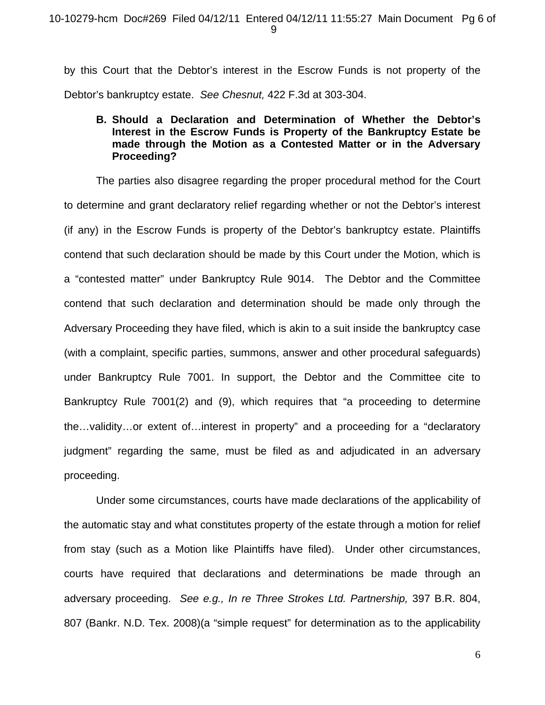by this Court that the Debtor's interest in the Escrow Funds is not property of the Debtor's bankruptcy estate. *See Chesnut,* 422 F.3d at 303-304.

## **B. Should a Declaration and Determination of Whether the Debtor's Interest in the Escrow Funds is Property of the Bankruptcy Estate be made through the Motion as a Contested Matter or in the Adversary Proceeding?**

The parties also disagree regarding the proper procedural method for the Court to determine and grant declaratory relief regarding whether or not the Debtor's interest (if any) in the Escrow Funds is property of the Debtor's bankruptcy estate. Plaintiffs contend that such declaration should be made by this Court under the Motion, which is a "contested matter" under Bankruptcy Rule 9014. The Debtor and the Committee contend that such declaration and determination should be made only through the Adversary Proceeding they have filed, which is akin to a suit inside the bankruptcy case (with a complaint, specific parties, summons, answer and other procedural safeguards) under Bankruptcy Rule 7001. In support, the Debtor and the Committee cite to Bankruptcy Rule 7001(2) and (9), which requires that "a proceeding to determine the…validity…or extent of…interest in property" and a proceeding for a "declaratory judgment" regarding the same, must be filed as and adjudicated in an adversary proceeding.

Under some circumstances, courts have made declarations of the applicability of the automatic stay and what constitutes property of the estate through a motion for relief from stay (such as a Motion like Plaintiffs have filed). Under other circumstances, courts have required that declarations and determinations be made through an adversary proceeding. *See e.g., In re Three Strokes Ltd. Partnership,* 397 B.R. 804, 807 (Bankr. N.D. Tex. 2008)(a "simple request" for determination as to the applicability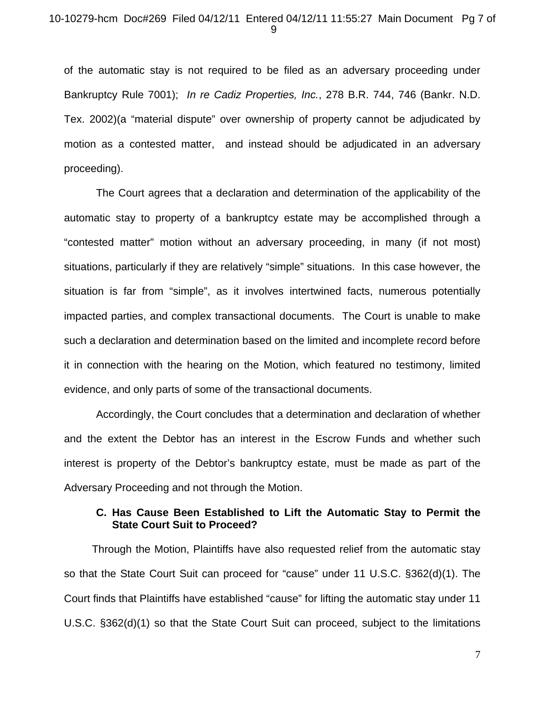of the automatic stay is not required to be filed as an adversary proceeding under Bankruptcy Rule 7001); *In re Cadiz Properties, Inc.*, 278 B.R. 744, 746 (Bankr. N.D. Tex. 2002)(a "material dispute" over ownership of property cannot be adjudicated by motion as a contested matter, and instead should be adjudicated in an adversary proceeding).

The Court agrees that a declaration and determination of the applicability of the automatic stay to property of a bankruptcy estate may be accomplished through a "contested matter" motion without an adversary proceeding, in many (if not most) situations, particularly if they are relatively "simple" situations. In this case however, the situation is far from "simple", as it involves intertwined facts, numerous potentially impacted parties, and complex transactional documents. The Court is unable to make such a declaration and determination based on the limited and incomplete record before it in connection with the hearing on the Motion, which featured no testimony, limited evidence, and only parts of some of the transactional documents.

Accordingly, the Court concludes that a determination and declaration of whether and the extent the Debtor has an interest in the Escrow Funds and whether such interest is property of the Debtor's bankruptcy estate, must be made as part of the Adversary Proceeding and not through the Motion.

### **C. Has Cause Been Established to Lift the Automatic Stay to Permit the State Court Suit to Proceed?**

 Through the Motion, Plaintiffs have also requested relief from the automatic stay so that the State Court Suit can proceed for "cause" under 11 U.S.C. §362(d)(1). The Court finds that Plaintiffs have established "cause" for lifting the automatic stay under 11 U.S.C. §362(d)(1) so that the State Court Suit can proceed, subject to the limitations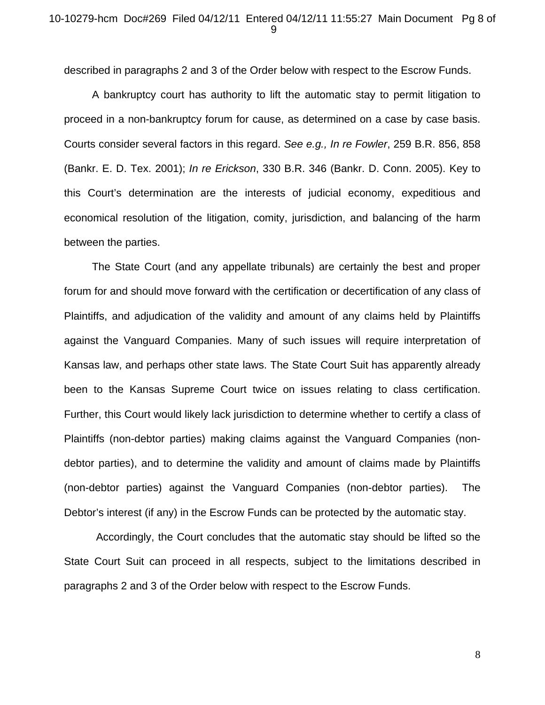described in paragraphs 2 and 3 of the Order below with respect to the Escrow Funds.

 A bankruptcy court has authority to lift the automatic stay to permit litigation to proceed in a non-bankruptcy forum for cause, as determined on a case by case basis. Courts consider several factors in this regard. *See e.g., In re Fowler*, 259 B.R. 856, 858 (Bankr. E. D. Tex. 2001); *In re Erickson*, 330 B.R. 346 (Bankr. D. Conn. 2005). Key to this Court's determination are the interests of judicial economy, expeditious and economical resolution of the litigation, comity, jurisdiction, and balancing of the harm between the parties.

 The State Court (and any appellate tribunals) are certainly the best and proper forum for and should move forward with the certification or decertification of any class of Plaintiffs, and adjudication of the validity and amount of any claims held by Plaintiffs against the Vanguard Companies. Many of such issues will require interpretation of Kansas law, and perhaps other state laws. The State Court Suit has apparently already been to the Kansas Supreme Court twice on issues relating to class certification. Further, this Court would likely lack jurisdiction to determine whether to certify a class of Plaintiffs (non-debtor parties) making claims against the Vanguard Companies (nondebtor parties), and to determine the validity and amount of claims made by Plaintiffs (non-debtor parties) against the Vanguard Companies (non-debtor parties). The Debtor's interest (if any) in the Escrow Funds can be protected by the automatic stay.

Accordingly, the Court concludes that the automatic stay should be lifted so the State Court Suit can proceed in all respects, subject to the limitations described in paragraphs 2 and 3 of the Order below with respect to the Escrow Funds.